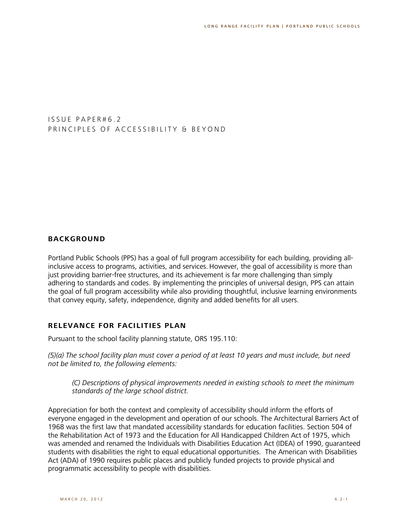I S S U E P A P E R # 6.2 PRINCIPLES OF ACCESSIBILITY & BEYOND

### **BACKGROUND**

Portland Public Schools (PPS) has a goal of full program accessibility for each building, providing allinclusive access to programs, activities, and services. However, the goal of accessibility is more than just providing barrier-free structures, and its achievement is far more challenging than simply adhering to standards and codes. By implementing the principles of universal design, PPS can attain the goal of full program accessibility while also providing thoughtful, inclusive learning environments that convey equity, safety, independence, dignity and added benefits for all users.

#### **RELEVANCE FOR FACILITIES PLAN**

Pursuant to the school facility planning statute, ORS 195.110:

*(5)(a) The school facility plan must cover a period of at least 10 years and must include, but need not be limited to, the following elements:*

*(C) Descriptions of physical improvements needed in existing schools to meet the minimum standards of the large school district.*

Appreciation for both the context and complexity of accessibility should inform the efforts of everyone engaged in the development and operation of our schools. The Architectural Barriers Act of 1968 was the first law that mandated accessibility standards for education facilities. Section 504 of the Rehabilitation Act of 1973 and the Education for All Handicapped Children Act of 1975, which was amended and renamed the Individuals with Disabilities Education Act (IDEA) of 1990, guaranteed students with disabilities the right to equal educational opportunities. The American with Disabilities Act (ADA) of 1990 requires public places and publicly funded projects to provide physical and programmatic accessibility to people with disabilities.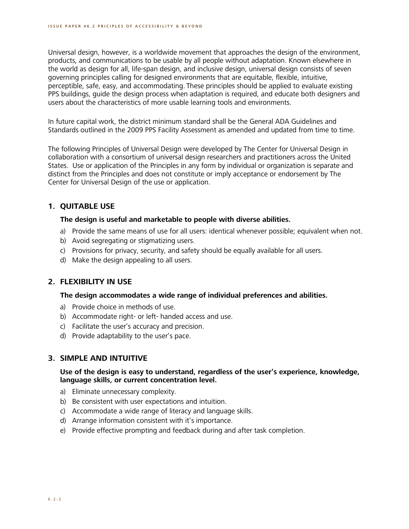Universal design, however, is a worldwide movement that approaches the design of the environment, products, and communications to be usable by all people without adaptation. Known elsewhere in the world as design for all, life-span design, and inclusive design, universal design consists of seven governing principles calling for designed environments that are equitable, flexible, intuitive, perceptible, safe, easy, and accommodating. These principles should be applied to evaluate existing PPS buildings, guide the design process when adaptation is required, and educate both designers and users about the characteristics of more usable learning tools and environments.

In future capital work, the district minimum standard shall be the General ADA Guidelines and Standards outlined in the 2009 PPS Facility Assessment as amended and updated from time to time.

The following Principles of Universal Design were developed by The Center for Universal Design in collaboration with a consortium of universal design researchers and practitioners across the United States. Use or application of the Principles in any form by individual or organization is separate and distinct from the Principles and does not constitute or imply acceptance or endorsement by The Center for Universal Design of the use or application.

## **1. QUITABLE USE**

### **The design is useful and marketable to people with diverse abilities.**

- a) Provide the same means of use for all users: identical whenever possible; equivalent when not.
- b) Avoid segregating or stigmatizing users.
- c) Provisions for privacy, security, and safety should be equally available for all users.
- d) Make the design appealing to all users.

### **2. FLEXIBILITY IN USE**

### **The design accommodates a wide range of individual preferences and abilities.**

- a) Provide choice in methods of use.
- b) Accommodate right- or left- handed access and use.
- c) Facilitate the user's accuracy and precision.
- d) Provide adaptability to the user's pace.

### **3. SIMPLE AND INTUITIVE**

### **Use of the design is easy to understand, regardless of the user's experience, knowledge, language skills, or current concentration level.**

- a) Eliminate unnecessary complexity.
- b) Be consistent with user expectations and intuition.
- c) Accommodate a wide range of literacy and language skills.
- d) Arrange information consistent with it's importance.
- e) Provide effective prompting and feedback during and after task completion.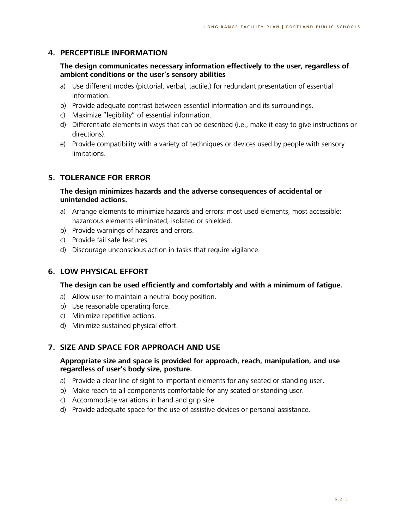# **4. PERCEPTIBLE INFORMATION**

### **The design communicates necessary information effectively to the user, regardless of ambient conditions or the user's sensory abilities**

- a) Use different modes (pictorial, verbal, tactile,) for redundant presentation of essential information.
- b) Provide adequate contrast between essential information and its surroundings.
- c) Maximize "legibility" of essential information.
- d) Differentiate elements in ways that can be described (i.e., make it easy to give instructions or directions).
- e) Provide compatibility with a variety of techniques or devices used by people with sensory limitations.

### **5. TOLERANCE FOR ERROR**

### **The design minimizes hazards and the adverse consequences of accidental or unintended actions.**

- a) Arrange elements to minimize hazards and errors: most used elements, most accessible: hazardous elements eliminated, isolated or shielded.
- b) Provide warnings of hazards and errors.
- c) Provide fail safe features.
- d) Discourage unconscious action in tasks that require vigilance.

### **6. LOW PHYSICAL EFFORT**

### **The design can be used efficiently and comfortably and with a minimum of fatigue.**

- a) Allow user to maintain a neutral body position.
- b) Use reasonable operating force.
- c) Minimize repetitive actions.
- d) Minimize sustained physical effort.

### **7. SIZE AND SPACE FOR APPROACH AND USE**

### **Appropriate size and space is provided for approach, reach, manipulation, and use regardless of user's body size, posture.**

- a) Provide a clear line of sight to important elements for any seated or standing user.
- b) Make reach to all components comfortable for any seated or standing user.
- c) Accommodate variations in hand and grip size.
- d) Provide adequate space for the use of assistive devices or personal assistance.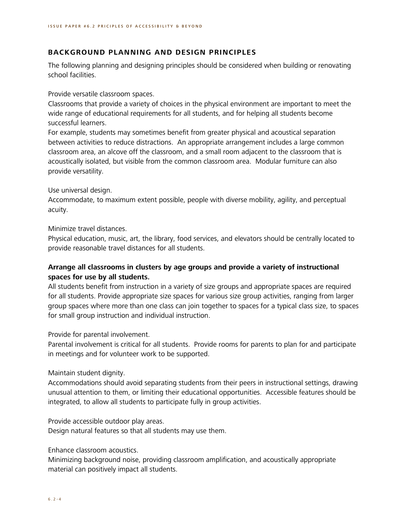### **BACKGROUND PLANNING AND DESIGN PRINCIPLES**

The following planning and designing principles should be considered when building or renovating school facilities.

Provide versatile classroom spaces.

Classrooms that provide a variety of choices in the physical environment are important to meet the wide range of educational requirements for all students, and for helping all students become successful learners.

For example, students may sometimes benefit from greater physical and acoustical separation between activities to reduce distractions. An appropriate arrangement includes a large common classroom area, an alcove off the classroom, and a small room adjacent to the classroom that is acoustically isolated, but visible from the common classroom area. Modular furniture can also provide versatility.

### Use universal design.

Accommodate, to maximum extent possible, people with diverse mobility, agility, and perceptual acuity.

Minimize travel distances.

Physical education, music, art, the library, food services, and elevators should be centrally located to provide reasonable travel distances for all students.

## **Arrange all classrooms in clusters by age groups and provide a variety of instructional spaces for use by all students.**

All students benefit from instruction in a variety of size groups and appropriate spaces are required for all students. Provide appropriate size spaces for various size group activities, ranging from larger group spaces where more than one class can join together to spaces for a typical class size, to spaces for small group instruction and individual instruction.

### Provide for parental involvement.

Parental involvement is critical for all students. Provide rooms for parents to plan for and participate in meetings and for volunteer work to be supported.

### Maintain student dignity.

Accommodations should avoid separating students from their peers in instructional settings, drawing unusual attention to them, or limiting their educational opportunities. Accessible features should be integrated, to allow all students to participate fully in group activities.

Provide accessible outdoor play areas.

Design natural features so that all students may use them.

### Enhance classroom acoustics.

Minimizing background noise, providing classroom amplification, and acoustically appropriate material can positively impact all students.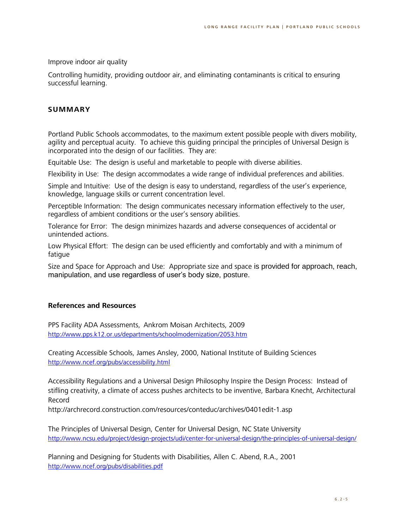#### Improve indoor air quality

Controlling humidity, providing outdoor air, and eliminating contaminants is critical to ensuring successful learning.

### **SUMMARY**

Portland Public Schools accommodates, to the maximum extent possible people with divers mobility, agility and perceptual acuity. To achieve this guiding principal the principles of Universal Design is incorporated into the design of our facilities. They are:

Equitable Use: The design is useful and marketable to people with diverse abilities.

Flexibility in Use: The design accommodates a wide range of individual preferences and abilities.

Simple and Intuitive: Use of the design is easy to understand, regardless of the user's experience, knowledge, language skills or current concentration level.

Perceptible Information: The design communicates necessary information effectively to the user, regardless of ambient conditions or the user's sensory abilities.

Tolerance for Error: The design minimizes hazards and adverse consequences of accidental or unintended actions.

Low Physical Effort: The design can be used efficiently and comfortably and with a minimum of fatigue

Size and Space for Approach and Use: Appropriate size and space is provided for approach, reach, manipulation, and use regardless of user's body size, posture.

### **References and Resources**

PPS Facility ADA Assessments, Ankrom Moisan Architects, 2009 <http://www.pps.k12.or.us/departments/schoolmodernization/2053.htm>

Creating Accessible Schools, James Ansley, 2000, National Institute of Building Sciences <http://www.ncef.org/pubs/accessibility.html>

Accessibility Regulations and a Universal Design Philosophy Inspire the Design Process: Instead of stifling creativity, a climate of access pushes architects to be inventive, Barbara Knecht, Architectural Record

http://archrecord.construction.com/resources/conteduc/archives/0401edit-1.asp

The Principles of Universal Design, Center for Universal Design, NC State University <http://www.ncsu.edu/project/design-projects/udi/center-for-universal-design/the-principles-of-universal-design/>

Planning and Designing for Students with Disabilities, Allen C. Abend, R.A., 2001 <http://www.ncef.org/pubs/disabilities.pdf>